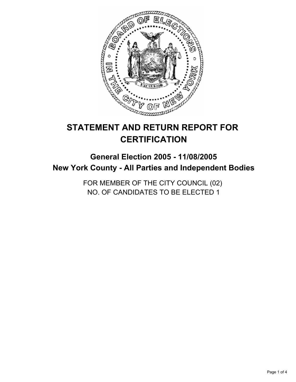

# **STATEMENT AND RETURN REPORT FOR CERTIFICATION**

## **General Election 2005 - 11/08/2005 New York County - All Parties and Independent Bodies**

FOR MEMBER OF THE CITY COUNCIL (02) NO. OF CANDIDATES TO BE ELECTED 1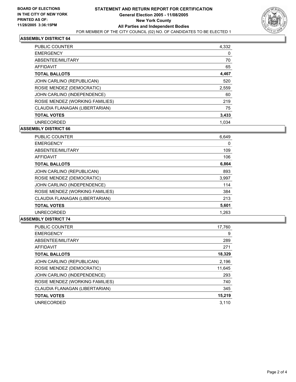

#### **ASSEMBLY DISTRICT 64**

| <b>PUBLIC COUNTER</b>           | 4,332 |
|---------------------------------|-------|
| <b>EMERGENCY</b>                | 0     |
| ABSENTEE/MILITARY               | 70    |
| <b>AFFIDAVIT</b>                | 65    |
| <b>TOTAL BALLOTS</b>            | 4,467 |
| JOHN CARLINO (REPUBLICAN)       | 520   |
| ROSIE MENDEZ (DEMOCRATIC)       | 2,559 |
| JOHN CARLINO (INDEPENDENCE)     | 60    |
| ROSIE MENDEZ (WORKING FAMILIES) | 219   |
| CLAUDIA FLANAGAN (LIBERTARIAN)  | 75    |
| <b>TOTAL VOTES</b>              | 3,433 |
| <b>UNRECORDED</b>               | 1.034 |

**ASSEMBLY DISTRICT 66**

| <b>PUBLIC COUNTER</b>           | 6,649 |
|---------------------------------|-------|
| <b>EMERGENCY</b>                | 0     |
| ABSENTEE/MILITARY               | 109   |
| <b>AFFIDAVIT</b>                | 106   |
| <b>TOTAL BALLOTS</b>            | 6,864 |
| JOHN CARLINO (REPUBLICAN)       | 893   |
| ROSIE MENDEZ (DEMOCRATIC)       | 3,997 |
| JOHN CARLINO (INDEPENDENCE)     | 114   |
| ROSIE MENDEZ (WORKING FAMILIES) | 384   |
| CLAUDIA FLANAGAN (LIBERTARIAN)  | 213   |
| <b>TOTAL VOTES</b>              | 5,601 |
| <b>UNRECORDED</b>               | 1,263 |

#### **ASSEMBLY DISTRICT 74**

| <b>PUBLIC COUNTER</b>           | 17,760 |
|---------------------------------|--------|
| <b>EMERGENCY</b>                | 9      |
| ABSENTEE/MILITARY               | 289    |
| <b>AFFIDAVIT</b>                | 271    |
| <b>TOTAL BALLOTS</b>            | 18,329 |
| JOHN CARLINO (REPUBLICAN)       | 2,196  |
| ROSIE MENDEZ (DEMOCRATIC)       | 11,645 |
| JOHN CARLINO (INDEPENDENCE)     | 293    |
| ROSIE MENDEZ (WORKING FAMILIES) | 740    |
| CLAUDIA FLANAGAN (LIBERTARIAN)  | 345    |
| <b>TOTAL VOTES</b>              | 15,219 |
| <b>UNRECORDED</b>               | 3.110  |
|                                 |        |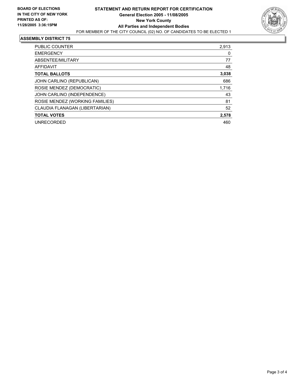

#### **ASSEMBLY DISTRICT 75**

| PUBLIC COUNTER                  | 2,913 |
|---------------------------------|-------|
| <b>EMERGENCY</b>                | 0     |
| ABSENTEE/MILITARY               | 77    |
| AFFIDAVIT                       | 48    |
| <b>TOTAL BALLOTS</b>            | 3,038 |
| JOHN CARLINO (REPUBLICAN)       | 686   |
| ROSIE MENDEZ (DEMOCRATIC)       | 1,716 |
| JOHN CARLINO (INDEPENDENCE)     | 43    |
| ROSIE MENDEZ (WORKING FAMILIES) | 81    |
| CLAUDIA FLANAGAN (LIBERTARIAN)  | 52    |
| <b>TOTAL VOTES</b>              | 2,578 |
| <b>UNRECORDED</b>               | 460   |